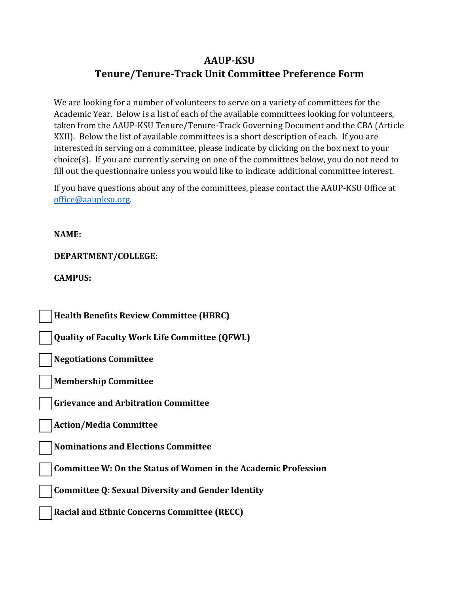## **AAUP-KSU Tenure/Tenure-Track Unit Committee Preference Form**

We are looking for a number of volunteers to serve on a variety of committees for the Academic Year. Below is a list of each of the available committees looking for volunteers, taken from the AAUP-KSU Tenure/Tenure-Track Governing Document and the CBA (Article XXII). Below the list of available committees is a short description of each. If you are interested in serving on a committee, please indicate by clicking on the box next to your choice(s). If you are currently serving on one of the committees below, you do not need to fill out the questionnaire unless you would like to indicate additional committee interest.

If you have questions about any of the committees, please contact the AAUP-KSU Office at [office@aaupksu.org.](mailto:office@aaupksu.org)

**NAME:** 

**DEPARTMENT/COLLEGE:** 

**CAMPUS:** 

**Health Benefits Review Committee (HBRC)** 

**Quality of Faculty Work Life Committee (QFWL)** 

**Negotiations Committee** 

**Membership Committee** 

**Grievance and Arbitration Committee** 

**Action/Media Committee** 

**Nominations and Elections Committee** 

**Committee W: On the Status of Women in the Academic Profession** 

**Committee Q: Sexual Diversity and Gender Identity** 

**Racial and Ethnic Concerns Committee (RECC)**